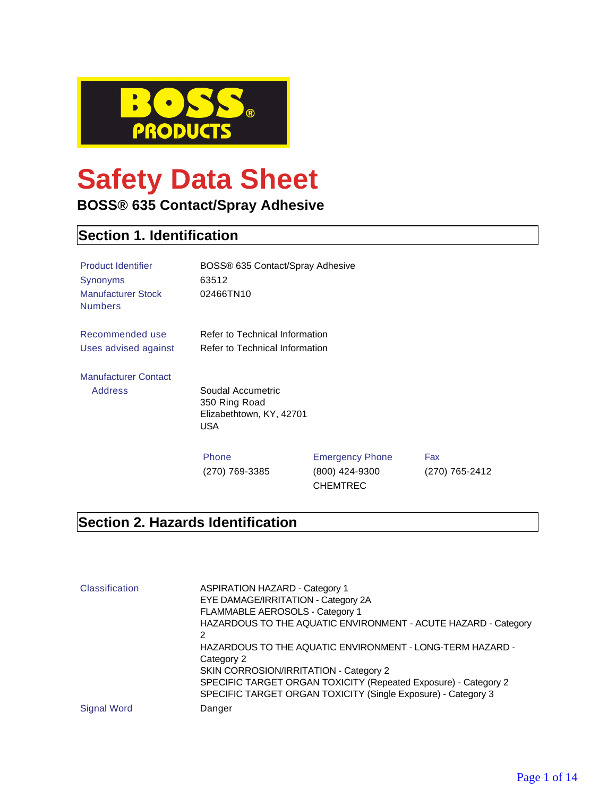

# **Safety Data Sheet**

### **BOSS® 635 Contact/Spray Adhesive**

### **Section 1. Identification**

| <b>Product Identifier</b><br>Synonyms<br><b>Manufacturer Stock</b><br><b>Numbers</b> | BOSS® 635 Contact/Spray Adhesive<br>63512<br>02466TN10                       |                                                             |                       |
|--------------------------------------------------------------------------------------|------------------------------------------------------------------------------|-------------------------------------------------------------|-----------------------|
| Recommended use                                                                      | Refer to Technical Information                                               |                                                             |                       |
| Uses advised against                                                                 | Refer to Technical Information                                               |                                                             |                       |
| <b>Manufacturer Contact</b>                                                          |                                                                              |                                                             |                       |
| <b>Address</b>                                                                       | Soudal Accumetric<br>350 Ring Road<br>Elizabethtown, KY, 42701<br><b>USA</b> |                                                             |                       |
|                                                                                      | Phone<br>(270) 769-3385                                                      | <b>Emergency Phone</b><br>(800) 424-9300<br><b>CHEMTREC</b> | Fax<br>(270) 765-2412 |

#### **Section 2. Hazards Identification**

| Classification     | <b>ASPIRATION HAZARD - Category 1</b><br>EYE DAMAGE/IRRITATION - Category 2A<br>FLAMMABLE AEROSOLS - Category 1<br>HAZARDOUS TO THE AQUATIC ENVIRONMENT - ACUTE HAZARD - Category<br>2<br>HAZARDOUS TO THE AQUATIC ENVIRONMENT - LONG-TERM HAZARD -<br>Category 2<br>SKIN CORROSION/IRRITATION - Category 2<br>SPECIFIC TARGET ORGAN TOXICITY (Repeated Exposure) - Category 2<br>SPECIFIC TARGET ORGAN TOXICITY (Single Exposure) - Category 3 |
|--------------------|-------------------------------------------------------------------------------------------------------------------------------------------------------------------------------------------------------------------------------------------------------------------------------------------------------------------------------------------------------------------------------------------------------------------------------------------------|
| <b>Signal Word</b> | Danger                                                                                                                                                                                                                                                                                                                                                                                                                                          |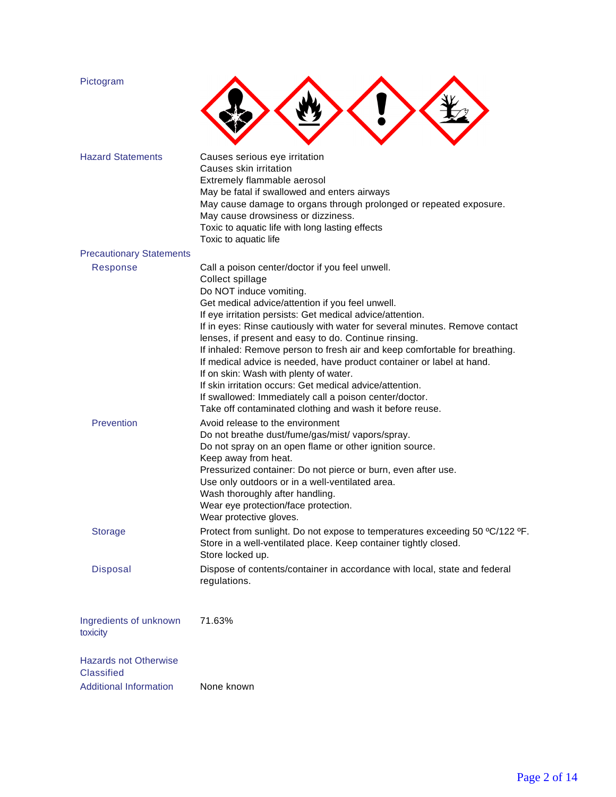| Pictogram                                         |                                                                                                                                                                                                                                                                                                                                                                                                                                                                                                                                                                                                                                                                                                                                           |
|---------------------------------------------------|-------------------------------------------------------------------------------------------------------------------------------------------------------------------------------------------------------------------------------------------------------------------------------------------------------------------------------------------------------------------------------------------------------------------------------------------------------------------------------------------------------------------------------------------------------------------------------------------------------------------------------------------------------------------------------------------------------------------------------------------|
| <b>Hazard Statements</b>                          | Causes serious eye irritation<br>Causes skin irritation<br>Extremely flammable aerosol<br>May be fatal if swallowed and enters airways<br>May cause damage to organs through prolonged or repeated exposure.<br>May cause drowsiness or dizziness.                                                                                                                                                                                                                                                                                                                                                                                                                                                                                        |
|                                                   | Toxic to aquatic life with long lasting effects<br>Toxic to aquatic life                                                                                                                                                                                                                                                                                                                                                                                                                                                                                                                                                                                                                                                                  |
| <b>Precautionary Statements</b>                   |                                                                                                                                                                                                                                                                                                                                                                                                                                                                                                                                                                                                                                                                                                                                           |
| Response                                          | Call a poison center/doctor if you feel unwell.<br>Collect spillage<br>Do NOT induce vomiting.<br>Get medical advice/attention if you feel unwell.<br>If eye irritation persists: Get medical advice/attention.<br>If in eyes: Rinse cautiously with water for several minutes. Remove contact<br>lenses, if present and easy to do. Continue rinsing.<br>If inhaled: Remove person to fresh air and keep comfortable for breathing.<br>If medical advice is needed, have product container or label at hand.<br>If on skin: Wash with plenty of water.<br>If skin irritation occurs: Get medical advice/attention.<br>If swallowed: Immediately call a poison center/doctor.<br>Take off contaminated clothing and wash it before reuse. |
| Prevention                                        | Avoid release to the environment<br>Do not breathe dust/fume/gas/mist/ vapors/spray.<br>Do not spray on an open flame or other ignition source.<br>Keep away from heat.<br>Pressurized container: Do not pierce or burn, even after use.<br>Use only outdoors or in a well-ventilated area.<br>Wash thoroughly after handling.<br>Wear eye protection/face protection.<br>Wear protective gloves.                                                                                                                                                                                                                                                                                                                                         |
| <b>Storage</b>                                    | Protect from sunlight. Do not expose to temperatures exceeding 50 °C/122 °F.<br>Store in a well-ventilated place. Keep container tightly closed.<br>Store locked up.                                                                                                                                                                                                                                                                                                                                                                                                                                                                                                                                                                      |
| <b>Disposal</b>                                   | Dispose of contents/container in accordance with local, state and federal<br>regulations.                                                                                                                                                                                                                                                                                                                                                                                                                                                                                                                                                                                                                                                 |
| Ingredients of unknown<br>toxicity                | 71.63%                                                                                                                                                                                                                                                                                                                                                                                                                                                                                                                                                                                                                                                                                                                                    |
| <b>Hazards not Otherwise</b><br><b>Classified</b> |                                                                                                                                                                                                                                                                                                                                                                                                                                                                                                                                                                                                                                                                                                                                           |
| <b>Additional Information</b>                     | None known                                                                                                                                                                                                                                                                                                                                                                                                                                                                                                                                                                                                                                                                                                                                |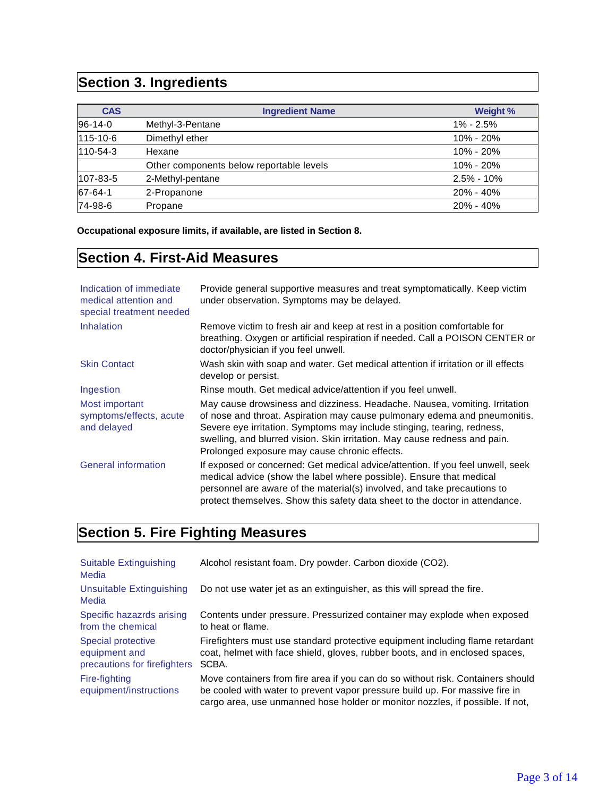### **Section 3. Ingredients**

| <b>CAS</b>    | <b>Ingredient Name</b>                   | Weight %       |
|---------------|------------------------------------------|----------------|
| $96-14-0$     | Methyl-3-Pentane                         | $1\% - 2.5\%$  |
| 115-10-6      | Dimethyl ether                           | $10\% - 20\%$  |
| 110-54-3      | Hexane                                   | $10\% - 20\%$  |
|               | Other components below reportable levels | 10% - 20%      |
| 107-83-5      | 2-Methyl-pentane                         | $2.5\% - 10\%$ |
| $67 - 64 - 1$ | 2-Propanone                              | $20\% - 40\%$  |
| 74-98-6       | Propane                                  | $20\% - 40\%$  |

**Occupational exposure limits, if available, are listed in Section 8.**

### **Section 4. First-Aid Measures**

| Indication of immediate<br>medical attention and<br>special treatment needed | Provide general supportive measures and treat symptomatically. Keep victim<br>under observation. Symptoms may be delayed.                                                                                                                                                                                                                                         |
|------------------------------------------------------------------------------|-------------------------------------------------------------------------------------------------------------------------------------------------------------------------------------------------------------------------------------------------------------------------------------------------------------------------------------------------------------------|
| <b>Inhalation</b>                                                            | Remove victim to fresh air and keep at rest in a position comfortable for<br>breathing. Oxygen or artificial respiration if needed. Call a POISON CENTER or<br>doctor/physician if you feel unwell.                                                                                                                                                               |
| <b>Skin Contact</b>                                                          | Wash skin with soap and water. Get medical attention if irritation or ill effects<br>develop or persist.                                                                                                                                                                                                                                                          |
| Ingestion                                                                    | Rinse mouth. Get medical advice/attention if you feel unwell.                                                                                                                                                                                                                                                                                                     |
| Most important<br>symptoms/effects, acute<br>and delayed                     | May cause drowsiness and dizziness. Headache. Nausea, vomiting. Irritation<br>of nose and throat. Aspiration may cause pulmonary edema and pneumonitis.<br>Severe eye irritation. Symptoms may include stinging, tearing, redness,<br>swelling, and blurred vision. Skin irritation. May cause redness and pain.<br>Prolonged exposure may cause chronic effects. |
| <b>General information</b>                                                   | If exposed or concerned: Get medical advice/attention. If you feel unwell, seek<br>medical advice (show the label where possible). Ensure that medical<br>personnel are aware of the material(s) involved, and take precautions to<br>protect themselves. Show this safety data sheet to the doctor in attendance.                                                |

### **Section 5. Fire Fighting Measures**

| <b>Suitable Extinguishing</b><br>Media                              | Alcohol resistant foam. Dry powder. Carbon dioxide (CO2).                                                                                                                                                                                        |
|---------------------------------------------------------------------|--------------------------------------------------------------------------------------------------------------------------------------------------------------------------------------------------------------------------------------------------|
| Unsuitable Extinguishing<br>Media                                   | Do not use water jet as an extinguisher, as this will spread the fire.                                                                                                                                                                           |
| Specific hazazrds arising<br>from the chemical                      | Contents under pressure. Pressurized container may explode when exposed<br>to heat or flame.                                                                                                                                                     |
| Special protective<br>equipment and<br>precautions for firefighters | Firefighters must use standard protective equipment including flame retardant<br>coat, helmet with face shield, gloves, rubber boots, and in enclosed spaces,<br>SCBA.                                                                           |
| Fire-fighting<br>equipment/instructions                             | Move containers from fire area if you can do so without risk. Containers should<br>be cooled with water to prevent vapor pressure build up. For massive fire in<br>cargo area, use unmanned hose holder or monitor nozzles, if possible. If not, |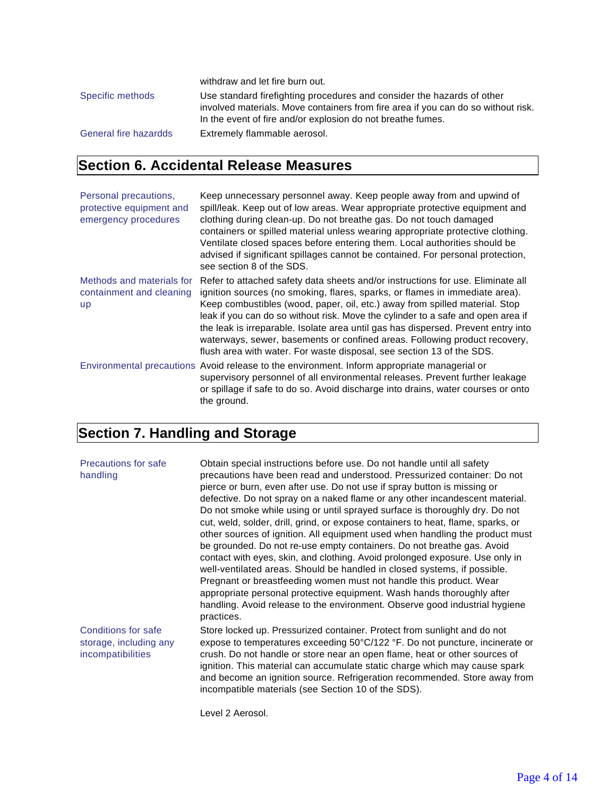|                       | withdraw and let fire burn out.                                                   |
|-----------------------|-----------------------------------------------------------------------------------|
| Specific methods      | Use standard firefighting procedures and consider the hazards of other            |
|                       | involved materials. Move containers from fire area if you can do so without risk. |
|                       | In the event of fire and/or explosion do not breathe fumes.                       |
| General fire hazardds | Extremely flammable aerosol.                                                      |

### **Section 6. Accidental Release Measures**

| Personal precautions,<br>protective equipment and<br>emergency procedures | Keep unnecessary personnel away. Keep people away from and upwind of<br>spill/leak. Keep out of low areas. Wear appropriate protective equipment and<br>clothing during clean-up. Do not breathe gas. Do not touch damaged<br>containers or spilled material unless wearing appropriate protective clothing.<br>Ventilate closed spaces before entering them. Local authorities should be<br>advised if significant spillages cannot be contained. For personal protection,<br>see section 8 of the SDS.                                                                      |
|---------------------------------------------------------------------------|-------------------------------------------------------------------------------------------------------------------------------------------------------------------------------------------------------------------------------------------------------------------------------------------------------------------------------------------------------------------------------------------------------------------------------------------------------------------------------------------------------------------------------------------------------------------------------|
| Methods and materials for<br>containment and cleaning<br><b>up</b>        | Refer to attached safety data sheets and/or instructions for use. Eliminate all<br>ignition sources (no smoking, flares, sparks, or flames in immediate area).<br>Keep combustibles (wood, paper, oil, etc.) away from spilled material. Stop<br>leak if you can do so without risk. Move the cylinder to a safe and open area if<br>the leak is irreparable. Isolate area until gas has dispersed. Prevent entry into<br>waterways, sewer, basements or confined areas. Following product recovery,<br>flush area with water. For waste disposal, see section 13 of the SDS. |
|                                                                           | Environmental precautions Avoid release to the environment. Inform appropriate managerial or<br>supervisory personnel of all environmental releases. Prevent further leakage<br>or spillage if safe to do so. Avoid discharge into drains, water courses or onto<br>the ground.                                                                                                                                                                                                                                                                                               |

### **Section 7. Handling and Storage**

| <b>Precautions for safe</b><br>handling                                   | Obtain special instructions before use. Do not handle until all safety<br>precautions have been read and understood. Pressurized container: Do not<br>pierce or burn, even after use. Do not use if spray button is missing or<br>defective. Do not spray on a naked flame or any other incandescent material.<br>Do not smoke while using or until sprayed surface is thoroughly dry. Do not<br>cut, weld, solder, drill, grind, or expose containers to heat, flame, sparks, or<br>other sources of ignition. All equipment used when handling the product must<br>be grounded. Do not re-use empty containers. Do not breathe gas. Avoid<br>contact with eyes, skin, and clothing. Avoid prolonged exposure. Use only in<br>well-ventilated areas. Should be handled in closed systems, if possible.<br>Pregnant or breastfeeding women must not handle this product. Wear<br>appropriate personal protective equipment. Wash hands thoroughly after<br>handling. Avoid release to the environment. Observe good industrial hygiene<br>practices. |
|---------------------------------------------------------------------------|------------------------------------------------------------------------------------------------------------------------------------------------------------------------------------------------------------------------------------------------------------------------------------------------------------------------------------------------------------------------------------------------------------------------------------------------------------------------------------------------------------------------------------------------------------------------------------------------------------------------------------------------------------------------------------------------------------------------------------------------------------------------------------------------------------------------------------------------------------------------------------------------------------------------------------------------------------------------------------------------------------------------------------------------------|
| <b>Conditions for safe</b><br>storage, including any<br>incompatibilities | Store locked up. Pressurized container. Protect from sunlight and do not<br>expose to temperatures exceeding 50°C/122 °F. Do not puncture, incinerate or<br>crush. Do not handle or store near an open flame, heat or other sources of<br>ignition. This material can accumulate static charge which may cause spark<br>and become an ignition source. Refrigeration recommended. Store away from<br>incompatible materials (see Section 10 of the SDS).                                                                                                                                                                                                                                                                                                                                                                                                                                                                                                                                                                                             |
|                                                                           | Level 2 Aerosol.                                                                                                                                                                                                                                                                                                                                                                                                                                                                                                                                                                                                                                                                                                                                                                                                                                                                                                                                                                                                                                     |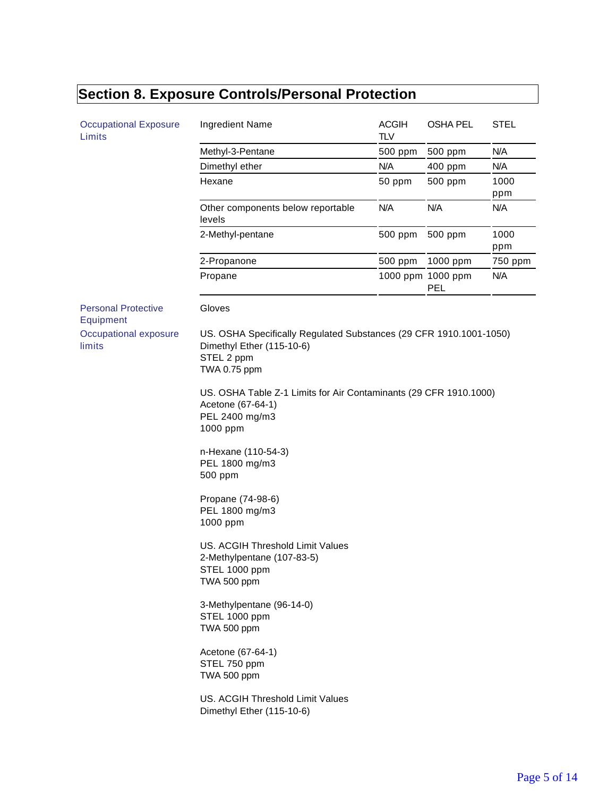# **Section 8. Exposure Controls/Personal Protection**

| <b>Occupational Exposure</b><br>Limits  | Ingredient Name                                                                                                                                                          | <b>ACGIH</b><br><b>TLV</b> | <b>OSHA PEL</b>                 | <b>STEL</b> |
|-----------------------------------------|--------------------------------------------------------------------------------------------------------------------------------------------------------------------------|----------------------------|---------------------------------|-------------|
|                                         | Methyl-3-Pentane                                                                                                                                                         | 500 ppm                    | 500 ppm                         | N/A         |
|                                         | Dimethyl ether                                                                                                                                                           | N/A                        | 400 ppm                         | N/A         |
|                                         | Hexane                                                                                                                                                                   | 50 ppm                     | 500 ppm                         | 1000<br>ppm |
|                                         | Other components below reportable<br>levels                                                                                                                              | N/A                        | N/A                             | N/A         |
|                                         | 2-Methyl-pentane                                                                                                                                                         | 500 ppm                    | 500 ppm                         | 1000<br>ppm |
|                                         | 2-Propanone                                                                                                                                                              | 500 ppm                    | 1000 ppm                        | 750 ppm     |
|                                         | Propane                                                                                                                                                                  |                            | 1000 ppm 1000 ppm<br><b>PEL</b> | N/A         |
| <b>Personal Protective</b><br>Equipment | Gloves                                                                                                                                                                   |                            |                                 |             |
| Occupational exposure<br>limits         | US. OSHA Specifically Regulated Substances (29 CFR 1910.1001-1050)<br>Dimethyl Ether (115-10-6)<br>STEL 2 ppm<br>TWA 0.75 ppm                                            |                            |                                 |             |
|                                         | US. OSHA Table Z-1 Limits for Air Contaminants (29 CFR 1910.1000)<br>Acetone (67-64-1)<br>PEL 2400 mg/m3<br>1000 ppm<br>n-Hexane (110-54-3)<br>PEL 1800 mg/m3<br>500 ppm |                            |                                 |             |
|                                         | Propane (74-98-6)<br>PEL 1800 mg/m3<br>1000 ppm                                                                                                                          |                            |                                 |             |
|                                         | US. ACGIH Threshold Limit Values<br>2-Methylpentane (107-83-5)<br>STEL 1000 ppm<br>TWA 500 ppm                                                                           |                            |                                 |             |
|                                         | 3-Methylpentane (96-14-0)<br>STEL 1000 ppm<br>TWA 500 ppm                                                                                                                |                            |                                 |             |
|                                         | Acetone (67-64-1)<br>STEL 750 ppm<br>TWA 500 ppm                                                                                                                         |                            |                                 |             |
|                                         | US. ACGIH Threshold Limit Values<br>Dimethyl Ether (115-10-6)                                                                                                            |                            |                                 |             |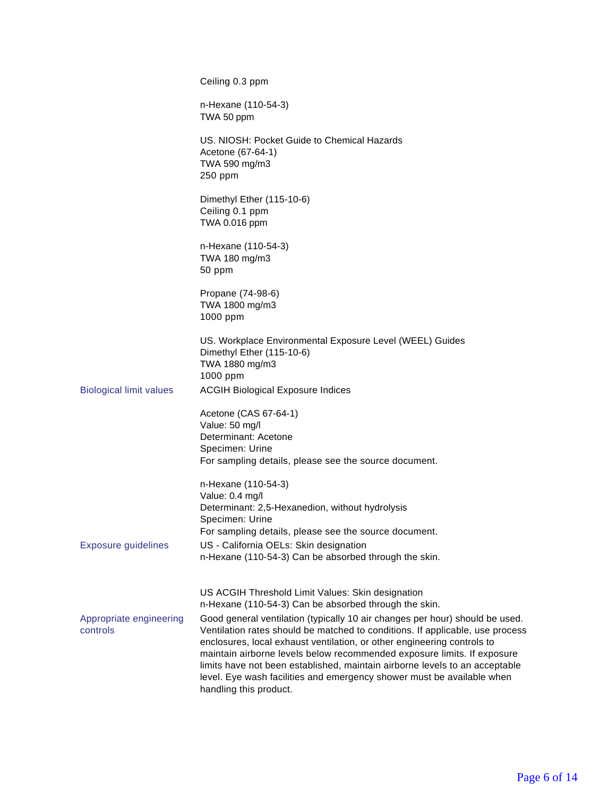|                                     | Ceiling 0.3 ppm                                                                                                                                                                                                                                                                                                                                                                                                                                                                                                                                                                                                      |
|-------------------------------------|----------------------------------------------------------------------------------------------------------------------------------------------------------------------------------------------------------------------------------------------------------------------------------------------------------------------------------------------------------------------------------------------------------------------------------------------------------------------------------------------------------------------------------------------------------------------------------------------------------------------|
|                                     | n-Hexane (110-54-3)<br>TWA 50 ppm                                                                                                                                                                                                                                                                                                                                                                                                                                                                                                                                                                                    |
|                                     | US. NIOSH: Pocket Guide to Chemical Hazards<br>Acetone (67-64-1)<br>TWA 590 mg/m3<br>250 ppm                                                                                                                                                                                                                                                                                                                                                                                                                                                                                                                         |
|                                     | Dimethyl Ether (115-10-6)<br>Ceiling 0.1 ppm<br>TWA 0.016 ppm                                                                                                                                                                                                                                                                                                                                                                                                                                                                                                                                                        |
|                                     | n-Hexane (110-54-3)<br>TWA 180 mg/m3<br>50 ppm                                                                                                                                                                                                                                                                                                                                                                                                                                                                                                                                                                       |
|                                     | Propane (74-98-6)<br>TWA 1800 mg/m3<br>1000 ppm                                                                                                                                                                                                                                                                                                                                                                                                                                                                                                                                                                      |
| <b>Biological limit values</b>      | US. Workplace Environmental Exposure Level (WEEL) Guides<br>Dimethyl Ether (115-10-6)<br>TWA 1880 mg/m3<br>1000 ppm<br><b>ACGIH Biological Exposure Indices</b>                                                                                                                                                                                                                                                                                                                                                                                                                                                      |
|                                     | Acetone (CAS 67-64-1)<br>Value: 50 mg/l<br>Determinant: Acetone<br>Specimen: Urine<br>For sampling details, please see the source document.                                                                                                                                                                                                                                                                                                                                                                                                                                                                          |
| <b>Exposure guidelines</b>          | n-Hexane (110-54-3)<br>Value: 0.4 mg/l<br>Determinant: 2,5-Hexanedion, without hydrolysis<br>Specimen: Urine<br>For sampling details, please see the source document.<br>US - California OELs: Skin designation                                                                                                                                                                                                                                                                                                                                                                                                      |
|                                     | n-Hexane (110-54-3) Can be absorbed through the skin.                                                                                                                                                                                                                                                                                                                                                                                                                                                                                                                                                                |
| Appropriate engineering<br>controls | US ACGIH Threshold Limit Values: Skin designation<br>n-Hexane (110-54-3) Can be absorbed through the skin.<br>Good general ventilation (typically 10 air changes per hour) should be used.<br>Ventilation rates should be matched to conditions. If applicable, use process<br>enclosures, local exhaust ventilation, or other engineering controls to<br>maintain airborne levels below recommended exposure limits. If exposure<br>limits have not been established, maintain airborne levels to an acceptable<br>level. Eye wash facilities and emergency shower must be available when<br>handling this product. |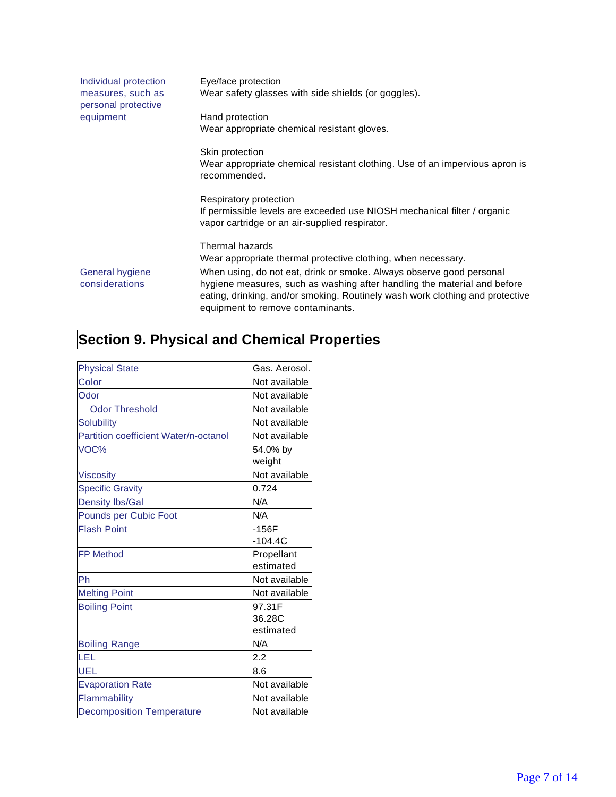| Individual protection<br>measures, such as<br>personal protective | Eye/face protection<br>Wear safety glasses with side shields (or goggles).                                                                                                                                                                                                                                                                                 |
|-------------------------------------------------------------------|------------------------------------------------------------------------------------------------------------------------------------------------------------------------------------------------------------------------------------------------------------------------------------------------------------------------------------------------------------|
| equipment                                                         | Hand protection<br>Wear appropriate chemical resistant gloves.                                                                                                                                                                                                                                                                                             |
|                                                                   | Skin protection<br>Wear appropriate chemical resistant clothing. Use of an impervious apron is<br>recommended.                                                                                                                                                                                                                                             |
|                                                                   | Respiratory protection<br>If permissible levels are exceeded use NIOSH mechanical filter / organic<br>vapor cartridge or an air-supplied respirator.                                                                                                                                                                                                       |
| General hygiene<br>considerations                                 | Thermal hazards<br>Wear appropriate thermal protective clothing, when necessary.<br>When using, do not eat, drink or smoke. Always observe good personal<br>hygiene measures, such as washing after handling the material and before<br>eating, drinking, and/or smoking. Routinely wash work clothing and protective<br>equipment to remove contaminants. |

## **Section 9. Physical and Chemical Properties**

| <b>Physical State</b>                 | Gas. Aerosol.      |
|---------------------------------------|--------------------|
| Color                                 | Not available      |
| Odor                                  | Not available      |
| <b>Odor Threshold</b>                 | Not available      |
| <b>Solubility</b>                     | Not available      |
| Partition coefficient Water/n-octanol | Not available      |
| VOC%                                  | 54.0% by<br>weight |
| <b>Viscosity</b>                      | Not available      |
| <b>Specific Gravity</b>               | 0.724              |
| <b>Density Ibs/Gal</b>                | N/A                |
| Pounds per Cubic Foot                 | N/A                |
| <b>Flash Point</b>                    | $-156F$            |
|                                       | $-104.4C$          |
| <b>FP Method</b>                      | Propellant         |
|                                       | estimated          |
| Ph                                    | Not available      |
| <b>Melting Point</b>                  | Not available      |
| <b>Boiling Point</b>                  | 97.31F             |
|                                       | 36.28C             |
|                                       | estimated          |
| <b>Boiling Range</b>                  | N/A                |
| LEL                                   | 2.2                |
| UEL                                   | 8.6                |
| <b>Evaporation Rate</b>               | Not available      |
| Flammability                          | Not available      |
| <b>Decomposition Temperature</b>      | Not available      |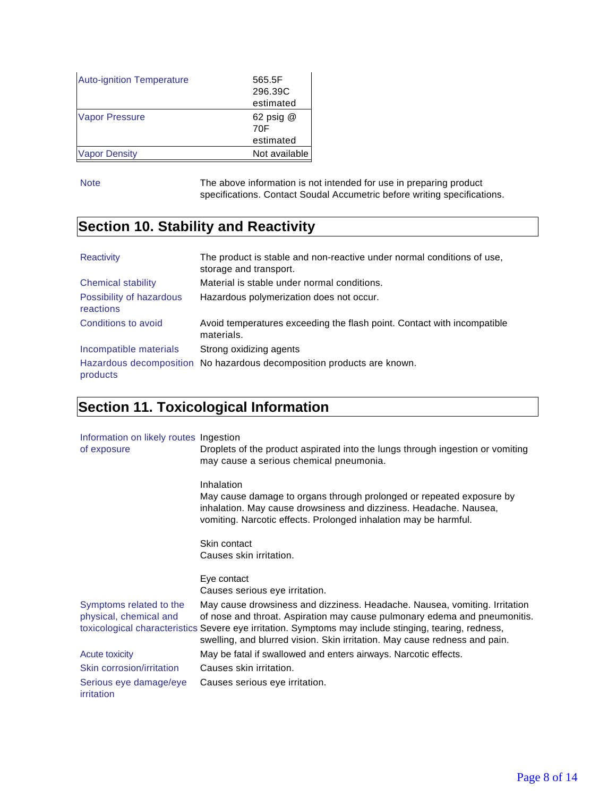| <b>Auto-ignition Temperature</b> | 565.5F<br>296.39C<br>estimated |
|----------------------------------|--------------------------------|
| <b>Vapor Pressure</b>            | 62 psig $@$<br>70F             |
|                                  | estimated                      |
| <b>Vapor Density</b>             | Not available                  |

Note The above information is not intended for use in preparing product specifications. Contact Soudal Accumetric before writing specifications.

### **Section 10. Stability and Reactivity**

| Reactivity                            | The product is stable and non-reactive under normal conditions of use,<br>storage and transport. |
|---------------------------------------|--------------------------------------------------------------------------------------------------|
| Chemical stability                    | Material is stable under normal conditions.                                                      |
| Possibility of hazardous<br>reactions | Hazardous polymerization does not occur.                                                         |
| Conditions to avoid                   | Avoid temperatures exceeding the flash point. Contact with incompatible<br>materials.            |
| Incompatible materials                | Strong oxidizing agents                                                                          |
| products                              | Hazardous decomposition No hazardous decomposition products are known.                           |

### **Section 11. Toxicological Information**

| Information on likely routes Ingestion |                                                                                                                                                                                                               |
|----------------------------------------|---------------------------------------------------------------------------------------------------------------------------------------------------------------------------------------------------------------|
| of exposure                            | Droplets of the product aspirated into the lungs through ingestion or vomiting                                                                                                                                |
|                                        | may cause a serious chemical pneumonia.                                                                                                                                                                       |
|                                        | Inhalation                                                                                                                                                                                                    |
|                                        | May cause damage to organs through prolonged or repeated exposure by<br>inhalation. May cause drowsiness and dizziness. Headache. Nausea,<br>vomiting. Narcotic effects. Prolonged inhalation may be harmful. |
|                                        |                                                                                                                                                                                                               |
|                                        | Skin contact                                                                                                                                                                                                  |
|                                        | Causes skin irritation.                                                                                                                                                                                       |
|                                        | Eye contact                                                                                                                                                                                                   |
|                                        | Causes serious eye irritation.                                                                                                                                                                                |
| Symptoms related to the                | May cause drowsiness and dizziness. Headache. Nausea, vomiting. Irritation                                                                                                                                    |
| physical, chemical and                 | of nose and throat. Aspiration may cause pulmonary edema and pneumonitis.                                                                                                                                     |
|                                        | toxicological characteristics Severe eye irritation. Symptoms may include stinging, tearing, redness,<br>swelling, and blurred vision. Skin irritation. May cause redness and pain.                           |
| <b>Acute toxicity</b>                  | May be fatal if swallowed and enters airways. Narcotic effects.                                                                                                                                               |
| Skin corrosion/irritation              | Causes skin irritation.                                                                                                                                                                                       |
| Serious eye damage/eye<br>irritation   | Causes serious eye irritation.                                                                                                                                                                                |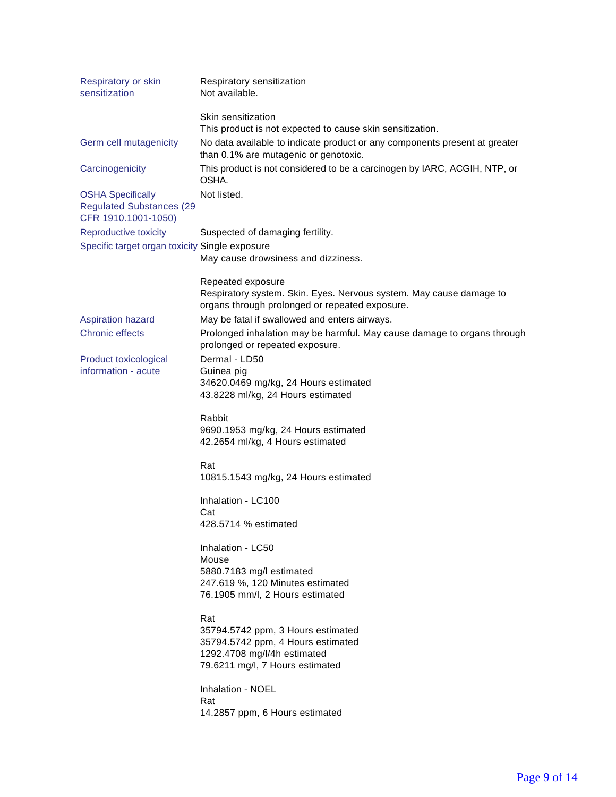| Respiratory or skin<br>sensitization                                               | Respiratory sensitization<br>Not available.                                                                           |
|------------------------------------------------------------------------------------|-----------------------------------------------------------------------------------------------------------------------|
|                                                                                    | Skin sensitization                                                                                                    |
|                                                                                    | This product is not expected to cause skin sensitization.                                                             |
| Germ cell mutagenicity                                                             | No data available to indicate product or any components present at greater<br>than 0.1% are mutagenic or genotoxic.   |
| Carcinogenicity                                                                    | This product is not considered to be a carcinogen by IARC, ACGIH, NTP, or<br>OSHA.                                    |
| <b>OSHA Specifically</b><br><b>Regulated Substances (29</b><br>CFR 1910.1001-1050) | Not listed.                                                                                                           |
| Reproductive toxicity                                                              | Suspected of damaging fertility.                                                                                      |
| Specific target organ toxicity Single exposure                                     |                                                                                                                       |
|                                                                                    | May cause drowsiness and dizziness.                                                                                   |
|                                                                                    | Repeated exposure                                                                                                     |
|                                                                                    | Respiratory system. Skin. Eyes. Nervous system. May cause damage to<br>organs through prolonged or repeated exposure. |
| <b>Aspiration hazard</b>                                                           | May be fatal if swallowed and enters airways.                                                                         |
| <b>Chronic effects</b>                                                             | Prolonged inhalation may be harmful. May cause damage to organs through<br>prolonged or repeated exposure.            |
| Product toxicological                                                              | Dermal - LD50                                                                                                         |
| information - acute                                                                | Guinea pig                                                                                                            |
|                                                                                    | 34620.0469 mg/kg, 24 Hours estimated                                                                                  |
|                                                                                    | 43.8228 ml/kg, 24 Hours estimated                                                                                     |
|                                                                                    | Rabbit<br>9690.1953 mg/kg, 24 Hours estimated<br>42.2654 ml/kg, 4 Hours estimated                                     |
|                                                                                    | Rat                                                                                                                   |
|                                                                                    | 10815.1543 mg/kg, 24 Hours estimated                                                                                  |
|                                                                                    | Inhalation - LC100                                                                                                    |
|                                                                                    | Cat                                                                                                                   |
|                                                                                    | 428.5714 % estimated                                                                                                  |
|                                                                                    | Inhalation - LC50                                                                                                     |
|                                                                                    | Mouse                                                                                                                 |
|                                                                                    | 5880.7183 mg/l estimated                                                                                              |
|                                                                                    | 247.619 %, 120 Minutes estimated<br>76.1905 mm/l, 2 Hours estimated                                                   |
|                                                                                    |                                                                                                                       |
|                                                                                    | Rat                                                                                                                   |
|                                                                                    | 35794.5742 ppm, 3 Hours estimated<br>35794.5742 ppm, 4 Hours estimated                                                |
|                                                                                    | 1292.4708 mg/l/4h estimated                                                                                           |
|                                                                                    | 79.6211 mg/l, 7 Hours estimated                                                                                       |
|                                                                                    | Inhalation - NOEL                                                                                                     |
|                                                                                    | Rat                                                                                                                   |
|                                                                                    | 14.2857 ppm, 6 Hours estimated                                                                                        |
|                                                                                    |                                                                                                                       |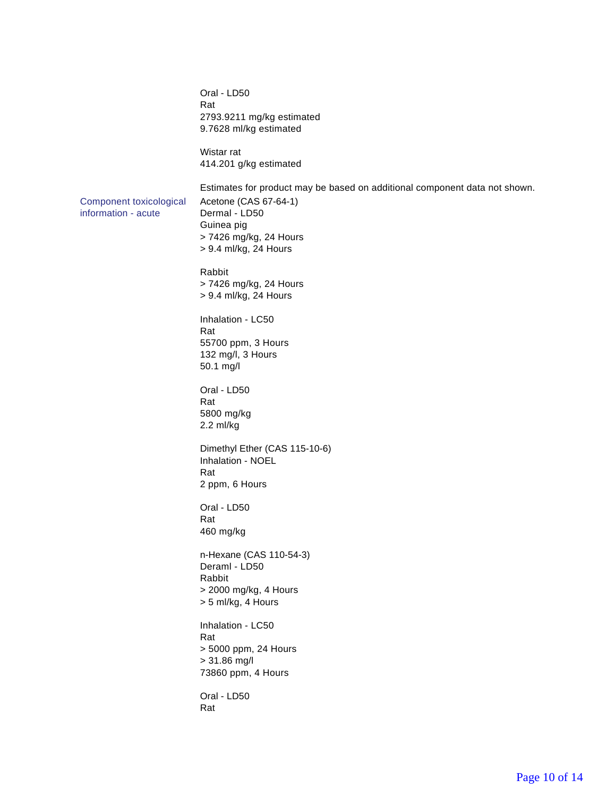Oral - LD50 Rat 2793.9211 mg/kg estimated 9.7628 ml/kg estimated Wistar rat 414.201 g/kg estimated Estimates for product may be based on additional component data not shown. Component toxicological information - acute Acetone (CAS 67-64-1) Dermal - LD50 Guinea pig > 7426 mg/kg, 24 Hours > 9.4 ml/kg, 24 Hours Rabbit > 7426 mg/kg, 24 Hours > 9.4 ml/kg, 24 Hours Inhalation - LC50 Rat 55700 ppm, 3 Hours 132 mg/l, 3 Hours 50.1 mg/l Oral - LD50 Rat 5800 mg/kg 2.2 ml/kg Dimethyl Ether (CAS 115-10-6) Inhalation - NOEL Rat 2 ppm, 6 Hours Oral - LD50 Rat 460 mg/kg n-Hexane (CAS 110-54-3) Deraml - LD50 Rabbit > 2000 mg/kg, 4 Hours > 5 ml/kg, 4 Hours Inhalation - LC50 Rat > 5000 ppm, 24 Hours > 31.86 mg/l 73860 ppm, 4 Hours Oral - LD50 Rat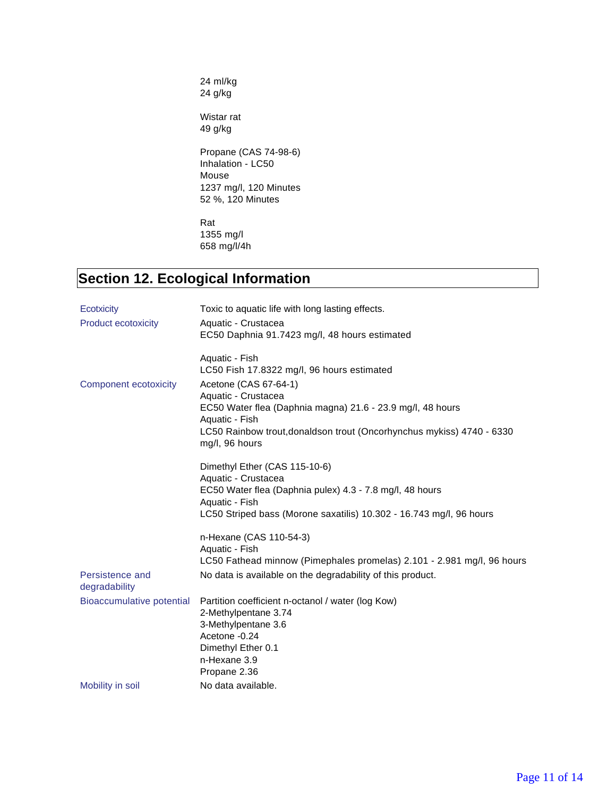24 ml/kg 24 g/kg

Wistar rat 49 g/kg

Propane (CAS 74-98-6) Inhalation - LC50 Mouse 1237 mg/l, 120 Minutes 52 %, 120 Minutes

Rat 1355 mg/l 658 mg/l/4h

### **Section 12. Ecological Information**

| <b>Ecotxicity</b>                | Toxic to aquatic life with long lasting effects.                                                  |
|----------------------------------|---------------------------------------------------------------------------------------------------|
| <b>Product ecotoxicity</b>       | Aquatic - Crustacea<br>EC50 Daphnia 91.7423 mg/l, 48 hours estimated                              |
|                                  | Aquatic - Fish<br>LC50 Fish 17.8322 mg/l, 96 hours estimated                                      |
| <b>Component ecotoxicity</b>     | Acetone (CAS 67-64-1)<br>Aquatic - Crustacea                                                      |
|                                  | EC50 Water flea (Daphnia magna) 21.6 - 23.9 mg/l, 48 hours<br>Aquatic - Fish                      |
|                                  | LC50 Rainbow trout, donaldson trout (Oncorhynchus mykiss) 4740 - 6330<br>mg/l, 96 hours           |
|                                  | Dimethyl Ether (CAS 115-10-6)                                                                     |
|                                  | Aquatic - Crustacea<br>EC50 Water flea (Daphnia pulex) 4.3 - 7.8 mg/l, 48 hours<br>Aquatic - Fish |
|                                  | LC50 Striped bass (Morone saxatilis) 10.302 - 16.743 mg/l, 96 hours                               |
|                                  | n-Hexane (CAS 110-54-3)                                                                           |
|                                  | Aquatic - Fish                                                                                    |
|                                  | LC50 Fathead minnow (Pimephales promelas) 2.101 - 2.981 mg/l, 96 hours                            |
| Persistence and<br>degradability | No data is available on the degradability of this product.                                        |
| <b>Bioaccumulative potential</b> | Partition coefficient n-octanol / water (log Kow)                                                 |
|                                  | 2-Methylpentane 3.74                                                                              |
|                                  | 3-Methylpentane 3.6<br>Acetone -0.24                                                              |
|                                  | Dimethyl Ether 0.1                                                                                |
|                                  | n-Hexane 3.9                                                                                      |
|                                  | Propane 2.36                                                                                      |
| Mobility in soil                 | No data available.                                                                                |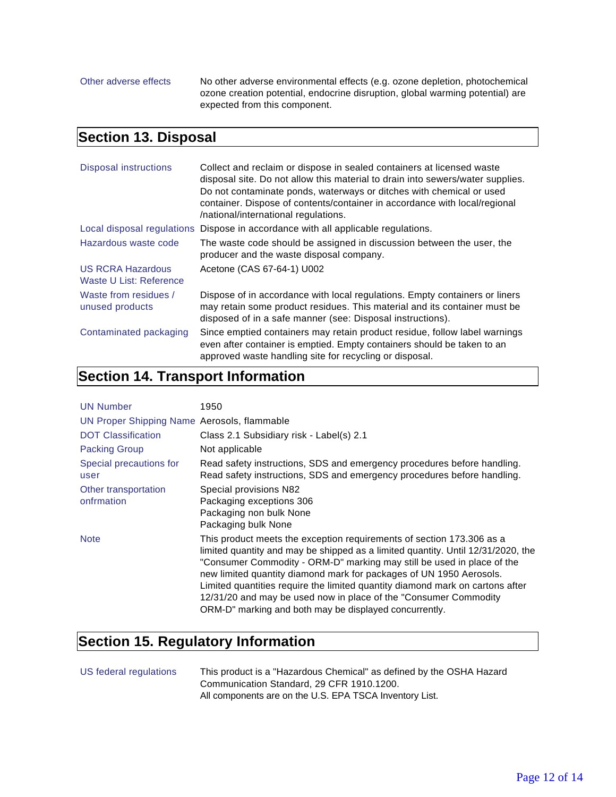Other adverse effects No other adverse environmental effects (e.g. ozone depletion, photochemical ozone creation potential, endocrine disruption, global warming potential) are expected from this component.

#### **Section 13. Disposal**

| Disposal instructions                               | Collect and reclaim or dispose in sealed containers at licensed waste<br>disposal site. Do not allow this material to drain into sewers/water supplies.<br>Do not contaminate ponds, waterways or ditches with chemical or used<br>container. Dispose of contents/container in accordance with local/regional<br>/national/international regulations. |
|-----------------------------------------------------|-------------------------------------------------------------------------------------------------------------------------------------------------------------------------------------------------------------------------------------------------------------------------------------------------------------------------------------------------------|
| Local disposal regulations                          | Dispose in accordance with all applicable regulations.                                                                                                                                                                                                                                                                                                |
| Hazardous waste code                                | The waste code should be assigned in discussion between the user, the<br>producer and the waste disposal company.                                                                                                                                                                                                                                     |
| <b>US RCRA Hazardous</b><br>Waste U List: Reference | Acetone (CAS 67-64-1) U002                                                                                                                                                                                                                                                                                                                            |
| Waste from residues /<br>unused products            | Dispose of in accordance with local regulations. Empty containers or liners<br>may retain some product residues. This material and its container must be<br>disposed of in a safe manner (see: Disposal instructions).                                                                                                                                |
| Contaminated packaging                              | Since emptied containers may retain product residue, follow label warnings<br>even after container is emptied. Empty containers should be taken to an<br>approved waste handling site for recycling or disposal.                                                                                                                                      |

### **Section 14. Transport Information**

| <b>UN Number</b>                            | 1950                                                                                                                                                                                                                                                                                                                                                                                                                                                                                                                       |
|---------------------------------------------|----------------------------------------------------------------------------------------------------------------------------------------------------------------------------------------------------------------------------------------------------------------------------------------------------------------------------------------------------------------------------------------------------------------------------------------------------------------------------------------------------------------------------|
| UN Proper Shipping Name Aerosols, flammable |                                                                                                                                                                                                                                                                                                                                                                                                                                                                                                                            |
| <b>DOT Classification</b>                   | Class 2.1 Subsidiary risk - Label(s) 2.1                                                                                                                                                                                                                                                                                                                                                                                                                                                                                   |
| <b>Packing Group</b>                        | Not applicable                                                                                                                                                                                                                                                                                                                                                                                                                                                                                                             |
| Special precautions for<br>user             | Read safety instructions, SDS and emergency procedures before handling.<br>Read safety instructions, SDS and emergency procedures before handling.                                                                                                                                                                                                                                                                                                                                                                         |
| Other transportation<br>onfrmation          | Special provisions N82<br>Packaging exceptions 306<br>Packaging non bulk None<br>Packaging bulk None                                                                                                                                                                                                                                                                                                                                                                                                                       |
| <b>Note</b>                                 | This product meets the exception requirements of section 173.306 as a<br>limited quantity and may be shipped as a limited quantity. Until 12/31/2020, the<br>"Consumer Commodity - ORM-D" marking may still be used in place of the<br>new limited quantity diamond mark for packages of UN 1950 Aerosols.<br>Limited quantities require the limited quantity diamond mark on cartons after<br>12/31/20 and may be used now in place of the "Consumer Commodity"<br>ORM-D" marking and both may be displayed concurrently. |

### **Section 15. Regulatory Information**

| US federal regulations | This product is a "Hazardous Chemical" as defined by the OSHA Hazard |
|------------------------|----------------------------------------------------------------------|
|                        | Communication Standard, 29 CFR 1910.1200.                            |
|                        | All components are on the U.S. EPA TSCA Inventory List.              |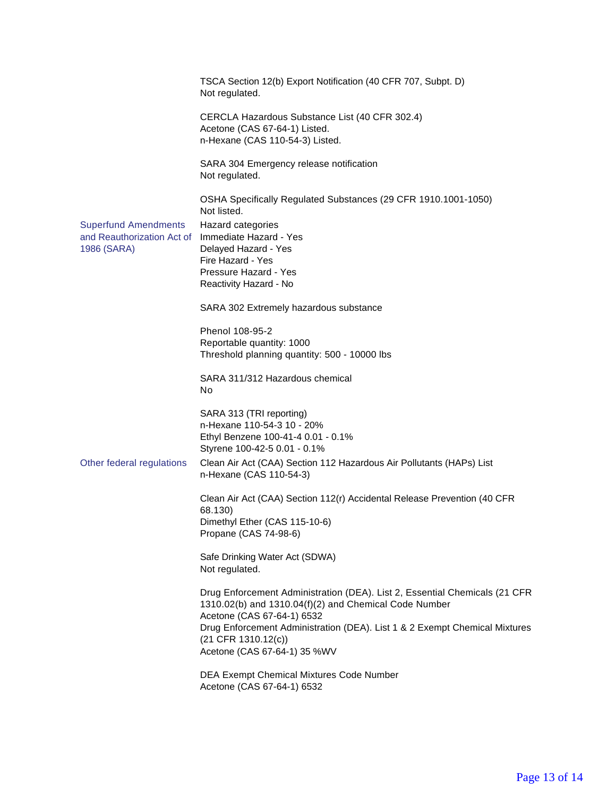|                                                                          | TSCA Section 12(b) Export Notification (40 CFR 707, Subpt. D)<br>Not regulated.                                                                                                                                                                                                                          |
|--------------------------------------------------------------------------|----------------------------------------------------------------------------------------------------------------------------------------------------------------------------------------------------------------------------------------------------------------------------------------------------------|
|                                                                          | CERCLA Hazardous Substance List (40 CFR 302.4)<br>Acetone (CAS 67-64-1) Listed.<br>n-Hexane (CAS 110-54-3) Listed.                                                                                                                                                                                       |
|                                                                          | SARA 304 Emergency release notification<br>Not regulated.                                                                                                                                                                                                                                                |
| <b>Superfund Amendments</b><br>and Reauthorization Act of<br>1986 (SARA) | OSHA Specifically Regulated Substances (29 CFR 1910.1001-1050)<br>Not listed.<br>Hazard categories<br>Immediate Hazard - Yes<br>Delayed Hazard - Yes<br>Fire Hazard - Yes<br>Pressure Hazard - Yes<br>Reactivity Hazard - No                                                                             |
|                                                                          | SARA 302 Extremely hazardous substance                                                                                                                                                                                                                                                                   |
|                                                                          | Phenol 108-95-2<br>Reportable quantity: 1000<br>Threshold planning quantity: 500 - 10000 lbs                                                                                                                                                                                                             |
|                                                                          | SARA 311/312 Hazardous chemical<br>No                                                                                                                                                                                                                                                                    |
|                                                                          | SARA 313 (TRI reporting)<br>n-Hexane 110-54-3 10 - 20%<br>Ethyl Benzene 100-41-4 0.01 - 0.1%<br>Styrene 100-42-5 0.01 - 0.1%                                                                                                                                                                             |
| Other federal regulations                                                | Clean Air Act (CAA) Section 112 Hazardous Air Pollutants (HAPs) List<br>n-Hexane (CAS 110-54-3)                                                                                                                                                                                                          |
|                                                                          | Clean Air Act (CAA) Section 112(r) Accidental Release Prevention (40 CFR<br>68.130)<br>Dimethyl Ether (CAS 115-10-6)<br>Propane (CAS 74-98-6)                                                                                                                                                            |
|                                                                          | Safe Drinking Water Act (SDWA)<br>Not regulated.                                                                                                                                                                                                                                                         |
|                                                                          | Drug Enforcement Administration (DEA). List 2, Essential Chemicals (21 CFR<br>1310.02(b) and 1310.04(f)(2) and Chemical Code Number<br>Acetone (CAS 67-64-1) 6532<br>Drug Enforcement Administration (DEA). List 1 & 2 Exempt Chemical Mixtures<br>$(21$ CFR 1310.12(c))<br>Acetone (CAS 67-64-1) 35 %WV |
|                                                                          | DEA Exempt Chemical Mixtures Code Number<br>Acetone (CAS 67-64-1) 6532                                                                                                                                                                                                                                   |